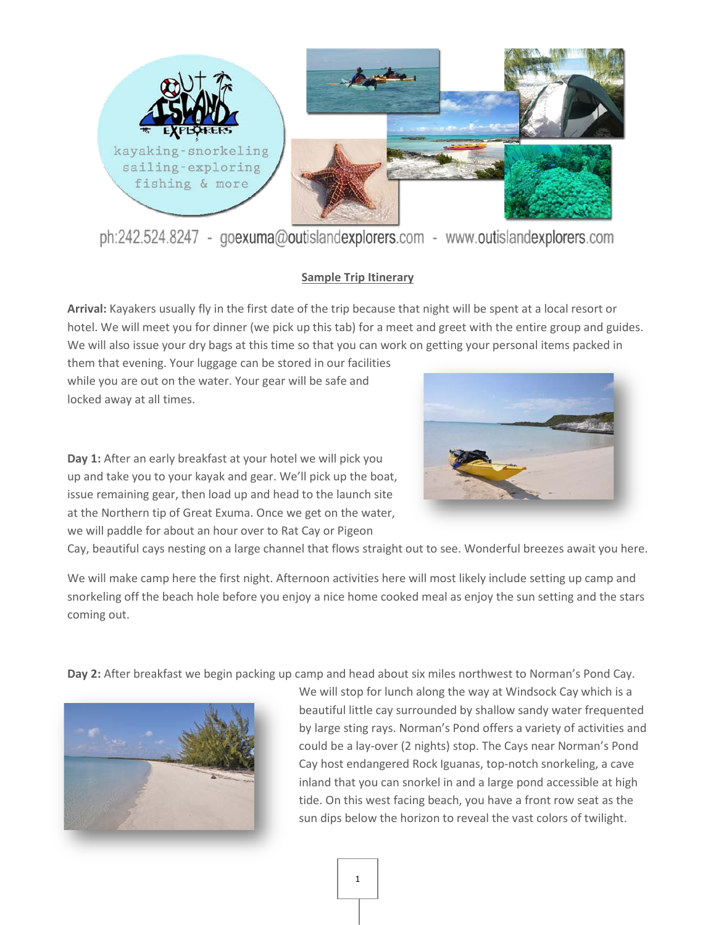

ph:242.524.8247 - goexuma@outislandexplorers.com - www.outislandexplorers.com

## **Sample Trip Itinerary**

**Arrival:** Kayakers usually fly in the first date of the trip because that night will be spent at a local resort or hotel. We will meet you for dinner (we pick up this tab) for a meet and greet with the entire group and guides. We will also issue your dry bags at this time so that you can work on getting your personal items packed in

them that evening. Your luggage can be stored in our facilities while you are out on the water. Your gear will be safe and locked away at all times.

**Day 1:** After an early breakfast at your hotel we will pick you up and take you to your kayak and gear. We'll pick up the boat, issue remaining gear, then load up and head to the launch site at the Northern tip of Great Exuma. Once we get on the water, we will paddle for about an hour over to Rat Cay or Pigeon



Cay, beautiful cays nesting on a large channel that flows straight out to see. Wonderful breezes await you here.

We will make camp here the first night. Afternoon activities here will most likely include setting up camp and snorkeling off the beach hole before you enjoy a nice home cooked meal as enjoy the sun setting and the stars coming out.

**Day 2:** After breakfast we begin packing up camp and head about six miles northwest to Norman's Pond Cay.



We will stop for lunch along the way at Windsock Cay which is a beautiful little cay surrounded by shallow sandy water frequented by large sting rays. Norman's Pond offers a variety of activities and could be a lay-over (2 nights) stop. The Cays near Norman's Pond Cay host endangered Rock Iguanas, top-notch snorkeling, a cave inland that you can snorkel in and a large pond accessible at high tide. On this west facing beach, you have a front row seat as the sun dips below the horizon to reveal the vast colors of twilight.